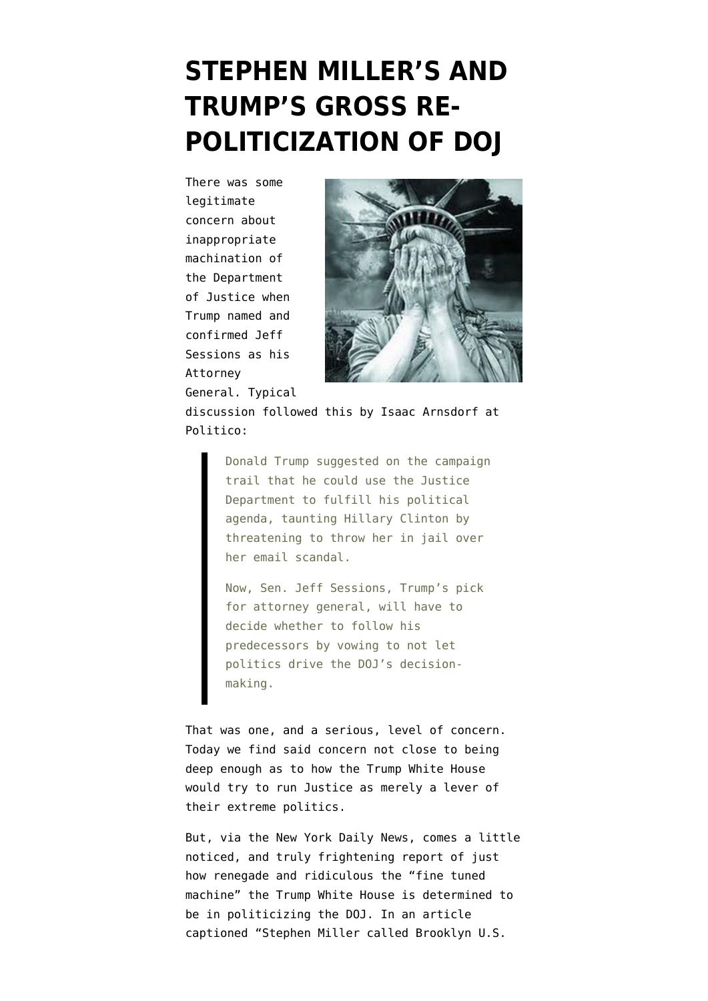## **[STEPHEN MILLER'S AND](https://www.emptywheel.net/2017/02/19/stephen-millers-and-trumps-gross-re-politicization-of-doj/) [TRUMP'S GROSS RE-](https://www.emptywheel.net/2017/02/19/stephen-millers-and-trumps-gross-re-politicization-of-doj/)[POLITICIZATION OF DOJ](https://www.emptywheel.net/2017/02/19/stephen-millers-and-trumps-gross-re-politicization-of-doj/)**

There was some legitimate concern about inappropriate machination of the Department of Justice when Trump named and confirmed Jeff Sessions as his Attorney General. Typical



discussion followed this by [Isaac Arnsdorf at](http://www.politico.com/story/2017/01/jeff-sessions-attorney-general-justice-233382) [Politico:](http://www.politico.com/story/2017/01/jeff-sessions-attorney-general-justice-233382)

> Donald Trump suggested on the campaign trail that he could use the Justice Department to fulfill his political agenda, taunting Hillary Clinton by threatening to throw her in jail over her email scandal.

Now, Sen. Jeff Sessions, Trump's pick for attorney general, will have to decide whether to follow his predecessors by vowing to not let politics drive the DOJ's decisionmaking.

That was one, and a serious, level of concern. Today we find said concern not close to being deep enough as to how the Trump White House would try to run Justice as merely a lever of their extreme politics.

But, via the New York Daily News, comes a little noticed, and truly frightening report of just how renegade and ridiculous the "fine tuned machine" the Trump White House is determined to be in politicizing the DOJ. In an article captioned ["Stephen Miller called Brooklyn U.S.](http://www.nydailynews.com/opinion/stephen-miller-called-u-s-attorney-travel-ban-defense-article-1.2975873?cid=bitly)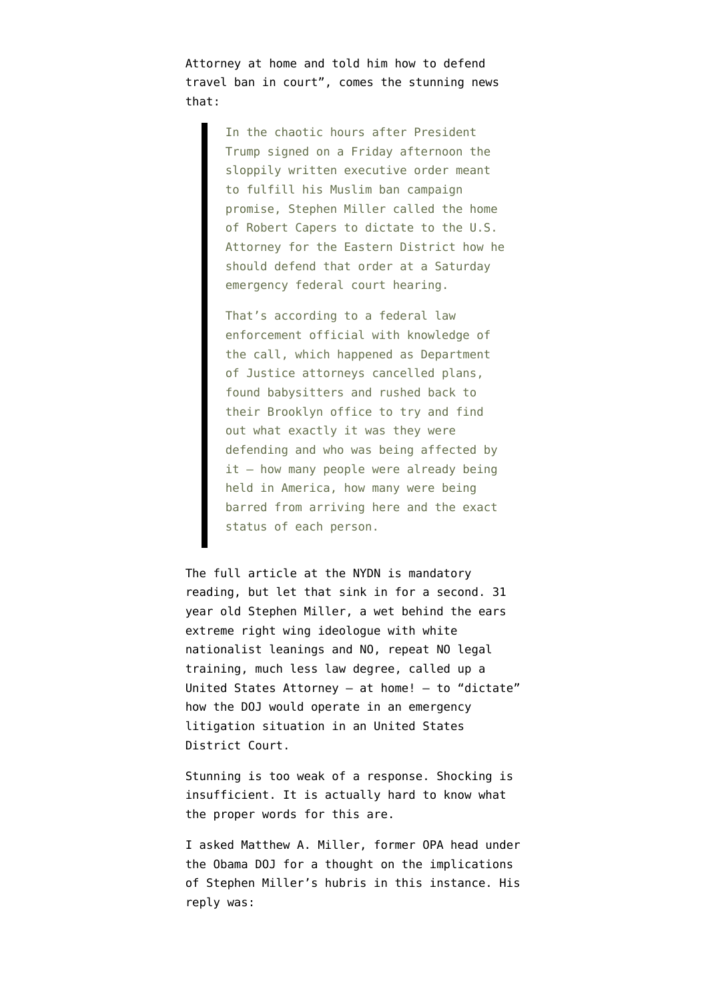[Attorney at home and told him how to defend](http://www.nydailynews.com/opinion/stephen-miller-called-u-s-attorney-travel-ban-defense-article-1.2975873?cid=bitly) [travel ban in court"](http://www.nydailynews.com/opinion/stephen-miller-called-u-s-attorney-travel-ban-defense-article-1.2975873?cid=bitly), comes the stunning news that:

> In the chaotic hours after President Trump signed on a Friday afternoon the sloppily written executive order meant to fulfill his Muslim ban campaign promise, Stephen Miller called the home of Robert Capers to dictate to the U.S. Attorney for the Eastern District how he should defend that order at a Saturday emergency federal court hearing.

That's according to a federal law enforcement official with knowledge of the call, which happened as Department of Justice attorneys cancelled plans, found babysitters and rushed back to their Brooklyn office to try and find out what exactly it was they were defending and who was being affected by  $it$  – how many people were already being held in America, how many were being barred from arriving here and the exact status of each person.

The full article at the NYDN is mandatory reading, but let that sink in for a second. 31 year old Stephen Miller, a wet behind the ears [extreme right wing ideologue with white](http://www.politico.com/magazine/story/2016/06/stephen-miller-donald-trump-2016-policy-adviser-jeff-sessions-213992) [nationalist leanings](http://www.politico.com/magazine/story/2016/06/stephen-miller-donald-trump-2016-policy-adviser-jeff-sessions-213992) and NO, repeat NO legal training, much less law degree, called up a United States Attorney – at home! – to "dictate" how the DOJ would operate in an emergency litigation situation in an United States District Court.

Stunning is too weak of a response. Shocking is insufficient. It is actually hard to know what the proper words for this are.

I asked Matthew A. Miller, former OPA head under the Obama DOJ for a thought on the implications of Stephen Miller's hubris in this instance. His reply was: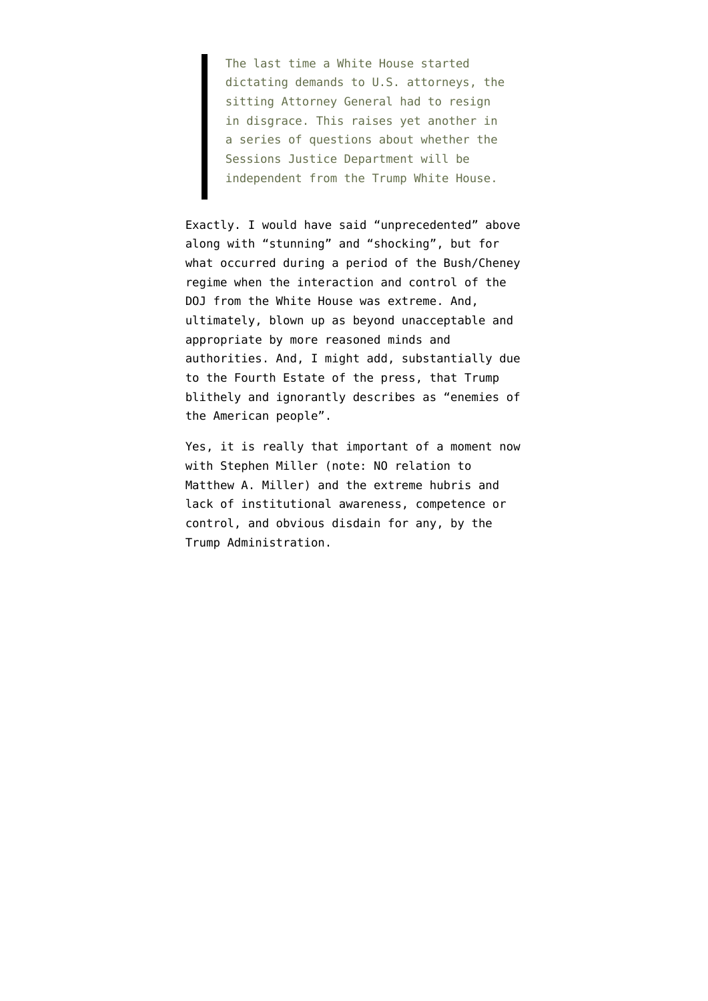The last time a White House started dictating demands to U.S. attorneys, the sitting Attorney General had to resign in disgrace. This raises yet another in a series of questions about whether the Sessions Justice Department will be independent from the Trump White House.

Exactly. I would have said "unprecedented" above along with "stunning" and "shocking", but for what occurred during a period of the Bush/Cheney regime when the interaction and control of the DOJ from the White House was extreme. And, ultimately, blown up as beyond unacceptable and appropriate by more reasoned minds and authorities. And, I might add, substantially due to the Fourth Estate of the press, that Trump [blithely and ignorantly describes](https://www.nytimes.com/2017/02/17/business/trump-calls-the-news-media-the-enemy-of-the-people.html) as "enemies of the American people".

Yes, it is really that important of a moment now with Stephen Miller (note: NO relation to Matthew A. Miller) and the extreme hubris and lack of institutional awareness, competence or control, and obvious disdain for any, by the Trump Administration.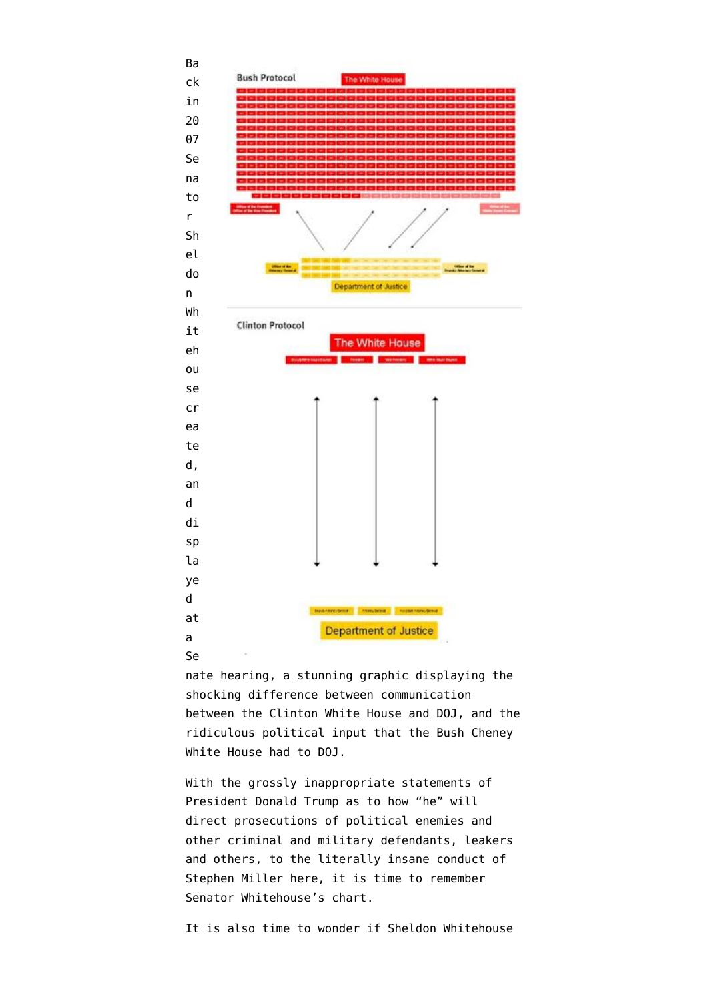

nate hearing, a stunning graphic displaying the shocking difference between communication between the Clinton White House and DOJ, and the ridiculous political input that the Bush Cheney White House had to DOJ.

With the grossly inappropriate statements of President Donald Trump as to how "he" will direct prosecutions of political enemies and other criminal and military defendants, leakers and others, to the literally insane conduct of Stephen Miller here, it is time to remember Senator Whitehouse's chart.

It is also time to wonder if Sheldon Whitehouse